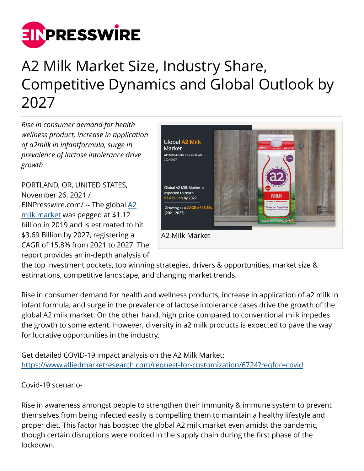

## A2 Milk Market Size, Industry Share, Competitive Dynamics and Global Outlook by 2027

*Rise in consumer demand for health wellness product, increase in application of a2milk in infantformula, surge in prevalence of lactose intolerance drive growth*

PORTLAND, OR, UNITED STATES, November 26, 2021 / [EINPresswire.com](http://www.einpresswire.com)/ -- The global [A2](https://www.alliedmarketresearch.com/a2-milk-market-A06359) [milk market](https://www.alliedmarketresearch.com/a2-milk-market-A06359) was pegged at \$1.12 billion in 2019 and is estimated to hit \$3.69 Billion by 2027, registering a CAGR of 15.8% from 2021 to 2027. The report provides an in-depth analysis of



the top investment pockets, top winning strategies, drivers & opportunities, market size & estimations, competitive landscape, and changing market trends.

Rise in consumer demand for health and wellness products, increase in application of a2 milk in infant formula, and surge in the prevalence of lactose intolerance cases drive the growth of the global A2 milk market. On the other hand, high price compared to conventional milk impedes the growth to some extent. However, diversity in a2 milk products is expected to pave the way for lucrative opportunities in the industry.

Get detailed COVID-19 impact analysis on the A2 Milk Market: <https://www.alliedmarketresearch.com/request-for-customization/6724?reqfor=covid>

Covid-19 scenario-

Rise in awareness amongst people to strengthen their immunity & immune system to prevent themselves from being infected easily is compelling them to maintain a healthy lifestyle and proper diet. This factor has boosted the global A2 milk market even amidst the pandemic, though certain disruptions were noticed in the supply chain during the first phase of the lockdown.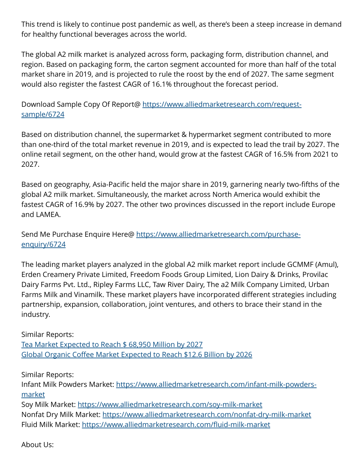This trend is likely to continue post pandemic as well, as there's been a steep increase in demand for healthy functional beverages across the world.

The global A2 milk market is analyzed across form, packaging form, distribution channel, and region. Based on packaging form, the carton segment accounted for more than half of the total market share in 2019, and is projected to rule the roost by the end of 2027. The same segment would also register the fastest CAGR of 16.1% throughout the forecast period.

Download Sample Copy Of Report@ [https://www.alliedmarketresearch.com/request](https://www.alliedmarketresearch.com/request-sample/6724)[sample/6724](https://www.alliedmarketresearch.com/request-sample/6724)

Based on distribution channel, the supermarket & hypermarket segment contributed to more than one-third of the total market revenue in 2019, and is expected to lead the trail by 2027. The online retail segment, on the other hand, would grow at the fastest CAGR of 16.5% from 2021 to 2027.

Based on geography, Asia-Pacific held the major share in 2019, garnering nearly two-fifths of the global A2 milk market. Simultaneously, the market across North America would exhibit the fastest CAGR of 16.9% by 2027. The other two provinces discussed in the report include Europe and LAMEA.

Send Me Purchase Enquire Here@ [https://www.alliedmarketresearch.com/purchase](https://www.alliedmarketresearch.com/purchase-enquiry/6724)[enquiry/6724](https://www.alliedmarketresearch.com/purchase-enquiry/6724)

The leading market players analyzed in the global A2 milk market report include GCMMF (Amul), Erden Creamery Private Limited, Freedom Foods Group Limited, Lion Dairy & Drinks, Provilac Dairy Farms Pvt. Ltd., Ripley Farms LLC, Taw River Dairy, The a2 Milk Company Limited, Urban Farms Milk and Vinamilk. These market players have incorporated different strategies including partnership, expansion, collaboration, joint ventures, and others to brace their stand in the industry.

Similar Reports: [Tea Market Expected to Reach \\$ 68,950 Million by 2027](https://www.alliedmarketresearch.com/tea-market) [Global Organic Coffee Market Expected to Reach \\$12.6 Billion by 2026](https://www.alliedmarketresearch.com/organic-coffee-market-A06085)

Similar Reports:

Infant Milk Powders Market: [https://www.alliedmarketresearch.com/infant-milk-powders](https://www.alliedmarketresearch.com/infant-milk-powders-market)[market](https://www.alliedmarketresearch.com/infant-milk-powders-market)

Soy Milk Market: <https://www.alliedmarketresearch.com/soy-milk-market> Nonfat Dry Milk Market:<https://www.alliedmarketresearch.com/nonfat-dry-milk-market> Fluid Milk Market:<https://www.alliedmarketresearch.com/fluid-milk-market>

About Us: